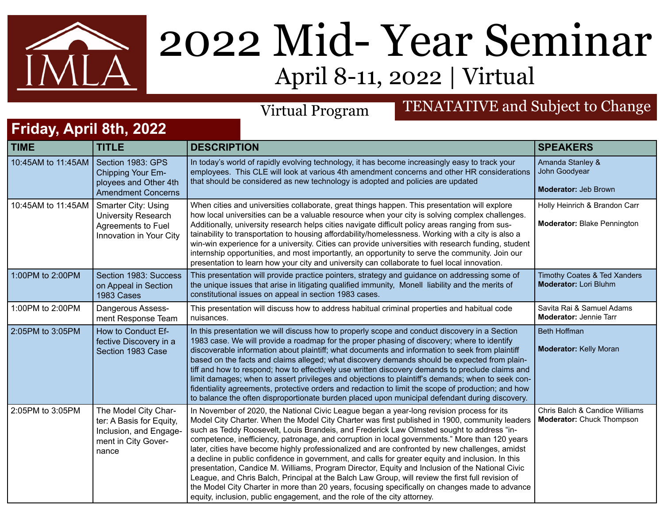

## 2022 Mid- Year Seminar April 8-11, 2022 | Virtual

## Virtual Program TENATATIVE and Subject to Change

## **Friday, April 8th, 2022**

| <b>TIME</b>        | <b>TITLE</b>                                                                                               | <b>DESCRIPTION</b>                                                                                                                                                                                                                                                                                                                                                                                                                                                                                                                                                                                                                                                                                                                                                                                                                                                                                                                                                                      | <b>SPEAKERS</b>                                                     |
|--------------------|------------------------------------------------------------------------------------------------------------|-----------------------------------------------------------------------------------------------------------------------------------------------------------------------------------------------------------------------------------------------------------------------------------------------------------------------------------------------------------------------------------------------------------------------------------------------------------------------------------------------------------------------------------------------------------------------------------------------------------------------------------------------------------------------------------------------------------------------------------------------------------------------------------------------------------------------------------------------------------------------------------------------------------------------------------------------------------------------------------------|---------------------------------------------------------------------|
| 10:45AM to 11:45AM | Section 1983: GPS<br>Chipping Your Em-<br>ployees and Other 4th<br><b>Amendment Concerns</b>               | In today's world of rapidly evolving technology, it has become increasingly easy to track your<br>employees. This CLE will look at various 4th amendment concerns and other HR considerations<br>that should be considered as new technology is adopted and policies are updated                                                                                                                                                                                                                                                                                                                                                                                                                                                                                                                                                                                                                                                                                                        | Amanda Stanley &<br>John Goodyear<br>Moderator: Jeb Brown           |
| 10:45AM to 11:45AM | <b>Smarter City: Using</b><br><b>University Research</b><br>Agreements to Fuel<br>Innovation in Your City  | When cities and universities collaborate, great things happen. This presentation will explore<br>how local universities can be a valuable resource when your city is solving complex challenges.<br>Additionally, university research helps cities navigate difficult policy areas ranging from sus-<br>tainability to transportation to housing affordability/homelessness. Working with a city is also a<br>win-win experience for a university. Cities can provide universities with research funding, student<br>internship opportunities, and most importantly, an opportunity to serve the community. Join our<br>presentation to learn how your city and university can collaborate to fuel local innovation.                                                                                                                                                                                                                                                                    | Holly Heinrich & Brandon Carr<br><b>Moderator: Blake Pennington</b> |
| 1:00PM to 2:00PM   | Section 1983: Success<br>on Appeal in Section<br>1983 Cases                                                | This presentation will provide practice pointers, strategy and guidance on addressing some of<br>the unique issues that arise in litigating qualified immunity, Monell liability and the merits of<br>constitutional issues on appeal in section 1983 cases.                                                                                                                                                                                                                                                                                                                                                                                                                                                                                                                                                                                                                                                                                                                            | Timothy Coates & Ted Xanders<br><b>Moderator: Lori Bluhm</b>        |
| 1:00PM to 2:00PM   | Dangerous Assess-<br>ment Response Team                                                                    | This presentation will discuss how to address habitual criminal properties and habitual code<br>nuisances.                                                                                                                                                                                                                                                                                                                                                                                                                                                                                                                                                                                                                                                                                                                                                                                                                                                                              | Savita Rai & Samuel Adams<br><b>Moderator: Jennie Tarr</b>          |
| 2:05PM to 3:05PM   | How to Conduct Ef-<br>fective Discovery in a<br>Section 1983 Case                                          | In this presentation we will discuss how to properly scope and conduct discovery in a Section<br>1983 case. We will provide a roadmap for the proper phasing of discovery; where to identify<br>discoverable information about plaintiff; what documents and information to seek from plaintiff<br>based on the facts and claims alleged; what discovery demands should be expected from plain-<br>tiff and how to respond; how to effectively use written discovery demands to preclude claims and<br>limit damages; when to assert privileges and objections to plaintiff's demands; when to seek con-<br>fidentiality agreements, protective orders and redaction to limit the scope of production; and how<br>to balance the often disproportionate burden placed upon municipal defendant during discovery.                                                                                                                                                                        | <b>Beth Hoffman</b><br><b>Moderator: Kelly Moran</b>                |
| 2:05PM to 3:05PM   | The Model City Char-<br>ter: A Basis for Equity,<br>Inclusion, and Engage-<br>ment in City Gover-<br>nance | In November of 2020, the National Civic League began a year-long revision process for its<br>Model City Charter. When the Model City Charter was first published in 1900, community leaders<br>such as Teddy Roosevelt, Louis Brandeis, and Frederick Law Olmsted sought to address "in-<br>competence, inefficiency, patronage, and corruption in local governments." More than 120 years<br>later, cities have become highly professionalized and are confronted by new challenges, amidst<br>a decline in public confidence in government, and calls for greater equity and inclusion. In this<br>presentation, Candice M. Williams, Program Director, Equity and Inclusion of the National Civic<br>League, and Chris Balch, Principal at the Balch Law Group, will review the first full revision of<br>the Model City Charter in more than 20 years, focusing specifically on changes made to advance<br>equity, inclusion, public engagement, and the role of the city attorney. | Chris Balch & Candice Williams<br><b>Moderator: Chuck Thompson</b>  |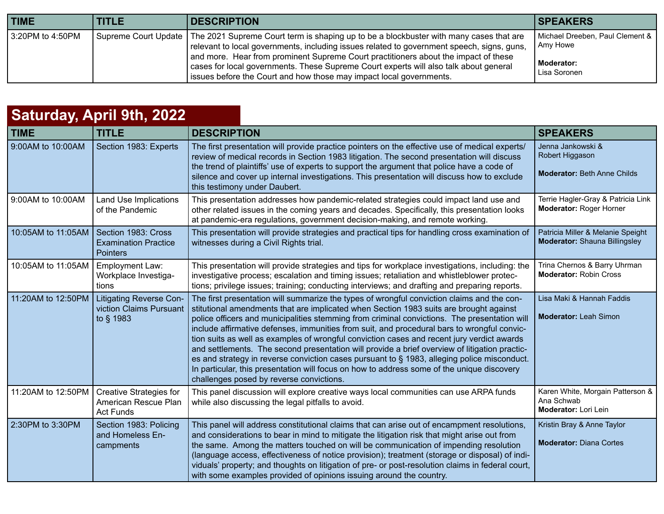| <b>TIME</b>      | <b>TITLE</b> | <b>DESCRIPTION</b>                                                                                                                                                                                                                                                                                                                                                                                                                                                  | <b>SPEAKERS</b>                                                           |
|------------------|--------------|---------------------------------------------------------------------------------------------------------------------------------------------------------------------------------------------------------------------------------------------------------------------------------------------------------------------------------------------------------------------------------------------------------------------------------------------------------------------|---------------------------------------------------------------------------|
| 3:20PM to 4:50PM |              | Supreme Court Update   The 2021 Supreme Court term is shaping up to be a blockbuster with many cases that are<br>relevant to local governments, including issues related to government speech, signs, guns,<br>and more. Hear from prominent Supreme Court practitioners about the impact of these<br>cases for local governments. These Supreme Court experts will also talk about general<br>sissues before the Court and how those may impact local governments. | Michael Dreeben, Paul Clement &<br>Amy Howe<br>Moderator:<br>Lisa Soronen |

| Saturday, April 9th, 2022 |                                                                            |                                                                                                                                                                                                                                                                                                                                                                                                                                                                                                                                                                                                                                                                                                                                                                                                                             |                                                                            |  |
|---------------------------|----------------------------------------------------------------------------|-----------------------------------------------------------------------------------------------------------------------------------------------------------------------------------------------------------------------------------------------------------------------------------------------------------------------------------------------------------------------------------------------------------------------------------------------------------------------------------------------------------------------------------------------------------------------------------------------------------------------------------------------------------------------------------------------------------------------------------------------------------------------------------------------------------------------------|----------------------------------------------------------------------------|--|
| <b>TIME</b>               | <b>TITLE</b>                                                               | <b>DESCRIPTION</b>                                                                                                                                                                                                                                                                                                                                                                                                                                                                                                                                                                                                                                                                                                                                                                                                          | <b>SPEAKERS</b>                                                            |  |
| 9:00AM to 10:00AM         | Section 1983: Experts                                                      | The first presentation will provide practice pointers on the effective use of medical experts/<br>review of medical records in Section 1983 litigation. The second presentation will discuss<br>the trend of plaintiffs' use of experts to support the argument that police have a code of<br>silence and cover up internal investigations. This presentation will discuss how to exclude<br>this testimony under Daubert.                                                                                                                                                                                                                                                                                                                                                                                                  | Jenna Jankowski &<br>Robert Higgason<br><b>Moderator: Beth Anne Childs</b> |  |
| 9:00AM to 10:00AM         | <b>Land Use Implications</b><br>of the Pandemic                            | This presentation addresses how pandemic-related strategies could impact land use and<br>other related issues in the coming years and decades. Specifically, this presentation looks<br>at pandemic-era regulations, government decision-making, and remote working.                                                                                                                                                                                                                                                                                                                                                                                                                                                                                                                                                        | Terrie Hagler-Gray & Patricia Link<br>Moderator: Roger Horner              |  |
| 10:05AM to 11:05AM        | Section 1983: Cross<br><b>Examination Practice</b><br><b>Pointers</b>      | This presentation will provide strategies and practical tips for handling cross examination of<br>witnesses during a Civil Rights trial.                                                                                                                                                                                                                                                                                                                                                                                                                                                                                                                                                                                                                                                                                    | Patricia Miller & Melanie Speight<br><b>Moderator:</b> Shauna Billingsley  |  |
| 10:05AM to 11:05AM        | Employment Law:<br>Workplace Investiga-<br>tions                           | This presentation will provide strategies and tips for workplace investigations, including: the<br>investigative process; escalation and timing issues; retaliation and whistleblower protec-<br>tions; privilege issues; training; conducting interviews; and drafting and preparing reports.                                                                                                                                                                                                                                                                                                                                                                                                                                                                                                                              | Trina Chernos & Barry Uhrman<br><b>Moderator: Robin Cross</b>              |  |
| 11:20AM to 12:50PM        | Litigating Reverse Con-<br>viction Claims Pursuant<br>to § 1983            | The first presentation will summarize the types of wrongful conviction claims and the con-<br>stitutional amendments that are implicated when Section 1983 suits are brought against<br>police officers and municipalities stemming from criminal convictions. The presentation will<br>include affirmative defenses, immunities from suit, and procedural bars to wrongful convic-<br>tion suits as well as examples of wrongful conviction cases and recent jury verdict awards<br>and settlements. The second presentation will provide a brief overview of litigation practic-<br>es and strategy in reverse conviction cases pursuant to § 1983, alleging police misconduct.<br>In particular, this presentation will focus on how to address some of the unique discovery<br>challenges posed by reverse convictions. | Lisa Maki & Hannah Faddis<br><b>Moderator: Leah Simon</b>                  |  |
| 11:20AM to 12:50PM        | <b>Creative Strategies for</b><br>American Rescue Plan<br><b>Act Funds</b> | This panel discussion will explore creative ways local communities can use ARPA funds<br>while also discussing the legal pitfalls to avoid.                                                                                                                                                                                                                                                                                                                                                                                                                                                                                                                                                                                                                                                                                 | Karen White, Morgain Patterson &<br>Ana Schwab<br>Moderator: Lori Lein     |  |
| 2:30PM to 3:30PM          | Section 1983: Policing<br>and Homeless En-<br>campments                    | This panel will address constitutional claims that can arise out of encampment resolutions,<br>and considerations to bear in mind to mitigate the litigation risk that might arise out from<br>the same. Among the matters touched on will be communication of impending resolution<br>(language access, effectiveness of notice provision); treatment (storage or disposal) of indi-<br>viduals' property; and thoughts on litigation of pre- or post-resolution claims in federal court,<br>with some examples provided of opinions issuing around the country.                                                                                                                                                                                                                                                           | Kristin Bray & Anne Taylor<br><b>Moderator: Diana Cortes</b>               |  |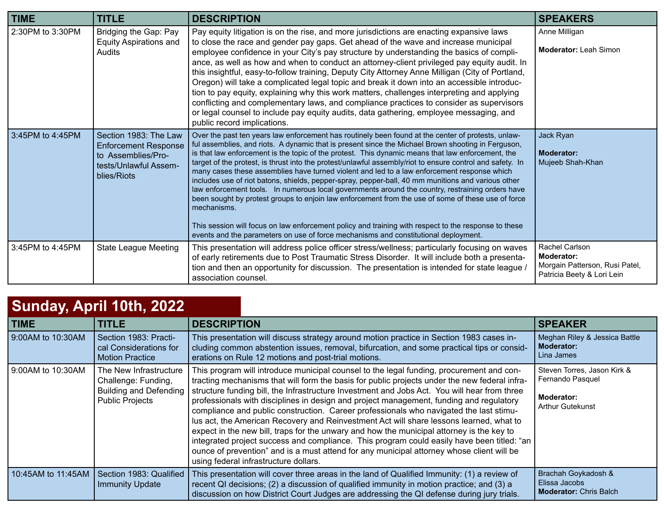| <b>TIME</b>      | <b>TITLE</b>                                                                                                       | <b>DESCRIPTION</b>                                                                                                                                                                                                                                                                                                                                                                                                                                                                                                                                                                                                                                                                                                                                                                                                                                                                                                                                                                                                                                      | <b>SPEAKERS</b>                                                                                     |
|------------------|--------------------------------------------------------------------------------------------------------------------|---------------------------------------------------------------------------------------------------------------------------------------------------------------------------------------------------------------------------------------------------------------------------------------------------------------------------------------------------------------------------------------------------------------------------------------------------------------------------------------------------------------------------------------------------------------------------------------------------------------------------------------------------------------------------------------------------------------------------------------------------------------------------------------------------------------------------------------------------------------------------------------------------------------------------------------------------------------------------------------------------------------------------------------------------------|-----------------------------------------------------------------------------------------------------|
| 2:30PM to 3:30PM | Bridging the Gap: Pay<br><b>Equity Aspirations and</b><br>Audits                                                   | Pay equity litigation is on the rise, and more jurisdictions are enacting expansive laws<br>to close the race and gender pay gaps. Get ahead of the wave and increase municipal<br>employee confidence in your City's pay structure by understanding the basics of compli-<br>ance, as well as how and when to conduct an attorney-client privileged pay equity audit. In<br>this insightful, easy-to-follow training, Deputy City Attorney Anne Milligan (City of Portland,<br>Oregon) will take a complicated legal topic and break it down into an accessible introduc-<br>tion to pay equity, explaining why this work matters, challenges interpreting and applying<br>conflicting and complementary laws, and compliance practices to consider as supervisors<br>or legal counsel to include pay equity audits, data gathering, employee messaging, and<br>public record implications.                                                                                                                                                            | Anne Milligan<br><b>Moderator: Leah Simon</b>                                                       |
| 3:45PM to 4:45PM | Section 1983: The Law<br><b>Enforcement Response</b><br>to Assemblies/Pro-<br>tests/Unlawful Assem-<br>blies/Riots | Over the past ten years law enforcement has routinely been found at the center of protests, unlaw-<br>ful assemblies, and riots. A dynamic that is present since the Michael Brown shooting in Ferguson,<br>is that law enforcement is the topic of the protest. This dynamic means that law enforcement, the<br>target of the protest, is thrust into the protest/unlawful assembly/riot to ensure control and safety. In<br>many cases these assemblies have turned violent and led to a law enforcement response which<br>includes use of riot batons, shields, pepper-spray, pepper-ball, 40 mm munitions and various other<br>law enforcement tools. In numerous local governments around the country, restraining orders have<br>been sought by protest groups to enjoin law enforcement from the use of some of these use of force<br>mechanisms.<br>This session will focus on law enforcement policy and training with respect to the response to these<br>events and the parameters on use of force mechanisms and constitutional deployment. | Jack Ryan<br><b>Moderator:</b><br>Mujeeb Shah-Khan                                                  |
| 3:45PM to 4:45PM | <b>State League Meeting</b>                                                                                        | This presentation will address police officer stress/wellness; particularly focusing on waves<br>of early retirements due to Post Traumatic Stress Disorder. It will include both a presenta-<br>tion and then an opportunity for discussion. The presentation is intended for state league /<br>association counsel.                                                                                                                                                                                                                                                                                                                                                                                                                                                                                                                                                                                                                                                                                                                                   | Rachel Carlson<br><b>Moderator:</b><br>Morgain Patterson, Rusi Patel,<br>Patricia Beety & Lori Lein |

## **Sunday, April 10th, 2022**

| .<br><b>TIME</b>   | <b>TITLE</b>                                                                                             | <b>DESCRIPTION</b>                                                                                                                                                                                                                                                                                                                                                                                                                                                                                                                                                                                                                                                                                                                                                                                                                                                                                         | <b>SPEAKER</b>                                                                                  |
|--------------------|----------------------------------------------------------------------------------------------------------|------------------------------------------------------------------------------------------------------------------------------------------------------------------------------------------------------------------------------------------------------------------------------------------------------------------------------------------------------------------------------------------------------------------------------------------------------------------------------------------------------------------------------------------------------------------------------------------------------------------------------------------------------------------------------------------------------------------------------------------------------------------------------------------------------------------------------------------------------------------------------------------------------------|-------------------------------------------------------------------------------------------------|
| 9:00AM to 10:30AM  | Section 1983: Practi-<br>cal Considerations for<br><b>Motion Practice</b>                                | This presentation will discuss strategy around motion practice in Section 1983 cases in-<br>cluding common abstention issues, removal, bifurcation, and some practical tips or consid-<br>erations on Rule 12 motions and post-trial motions.                                                                                                                                                                                                                                                                                                                                                                                                                                                                                                                                                                                                                                                              | Meghan Riley & Jessica Battle<br><b>Moderator:</b><br>Lina James                                |
| 9:00AM to 10:30AM  | The New Infrastructure<br>Challenge: Funding,<br><b>Building and Defending</b><br><b>Public Projects</b> | This program will introduce municipal counsel to the legal funding, procurement and con-<br>tracting mechanisms that will form the basis for public projects under the new federal infra-<br>structure funding bill, the Infrastructure Investment and Jobs Act. You will hear from three<br>professionals with disciplines in design and project management, funding and regulatory<br>compliance and public construction. Career professionals who navigated the last stimu-<br>lus act, the American Recovery and Reinvestment Act will share lessons learned, what to<br>expect in the new bill, traps for the unwary and how the municipal attorney is the key to<br>integrated project success and compliance. This program could easily have been titled: "an<br>ounce of prevention" and is a must attend for any municipal attorney whose client will be<br>using federal infrastructure dollars. | Steven Torres, Jason Kirk &<br>Fernando Pasquel<br><b>Moderator:</b><br><b>Arthur Gutekunst</b> |
| 10:45AM to 11:45AM | Section 1983: Qualified<br><b>Immunity Update</b>                                                        | This presentation will cover three areas in the land of Qualified Immunity: (1) a review of<br>recent QI decisions; (2) a discussion of qualified immunity in motion practice; and (3) a<br>discussion on how District Court Judges are addressing the QI defense during jury trials.                                                                                                                                                                                                                                                                                                                                                                                                                                                                                                                                                                                                                      | Brachah Goykadosh &<br>Elissa Jacobs<br><b>Moderator: Chris Balch</b>                           |